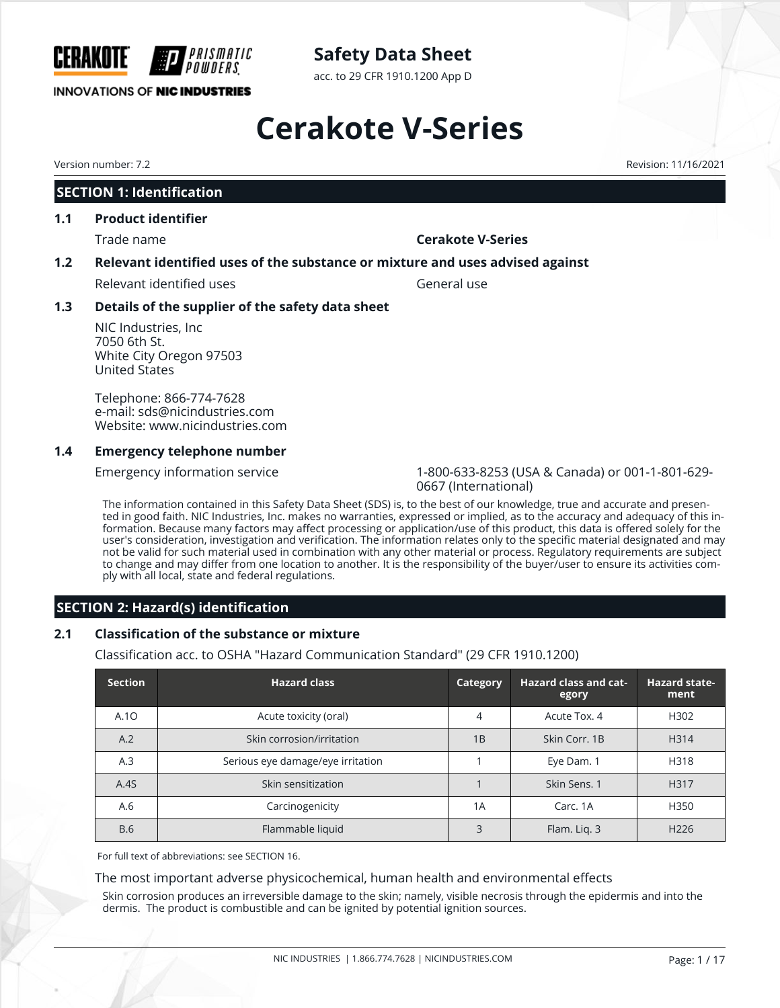

acc. to 29 CFR 1910.1200 App D

# **Cerakote V-Series**

# **SECTION 1: Identification**

#### **1.1 Product identifier**

# Trade name **Cerakote V-Series**

## **1.2 Relevant identified uses of the substance or mixture and uses advised against**

Relevant identified uses General use

## **1.3 Details of the supplier of the safety data sheet**

NIC Industries, Inc 7050 6th St. White City Oregon 97503 United States

Telephone: 866-774-7628 e-mail: sds@nicindustries.com Website: www.nicindustries.com

## **1.4 Emergency telephone number**

Emergency information service 1-800-633-8253 (USA & Canada) or 001-1-801-629- 0667 (International)

The information contained in this Safety Data Sheet (SDS) is, to the best of our knowledge, true and accurate and presented in good faith. NIC Industries, Inc. makes no warranties, expressed or implied, as to the accuracy and adequacy of this information. Because many factors may affect processing or application/use of this product, this data is offered solely for the user's consideration, investigation and verification. The information relates only to the specific material designated and may not be valid for such material used in combination with any other material or process. Regulatory requirements are subject to change and may differ from one location to another. It is the responsibility of the buyer/user to ensure its activities comply with all local, state and federal regulations.

# **SECTION 2: Hazard(s) identification**

## **2.1 Classification of the substance or mixture**

Classification acc. to OSHA "Hazard Communication Standard" (29 CFR 1910.1200)

| <b>Section</b> | <b>Hazard class</b>               | Category | Hazard class and cat-<br>egory | <b>Hazard state-</b><br>ment |
|----------------|-----------------------------------|----------|--------------------------------|------------------------------|
| A.10           | Acute toxicity (oral)             | 4        | Acute Tox. 4                   | H302                         |
| A.2            | Skin corrosion/irritation         | 1B       | Skin Corr. 1B                  | H314                         |
| A.3            | Serious eye damage/eye irritation |          | Eye Dam. 1                     | H318                         |
| A.4S           | Skin sensitization                |          | Skin Sens. 1                   | H317                         |
| A.6            | Carcinogenicity                   | 1A       | Carc, 1A                       | H350                         |
| <b>B.6</b>     | Flammable liquid                  | 3        | Flam. Lig. 3                   | H <sub>226</sub>             |

For full text of abbreviations: see SECTION 16.

## The most important adverse physicochemical, human health and environmental effects

Skin corrosion produces an irreversible damage to the skin; namely, visible necrosis through the epidermis and into the dermis. The product is combustible and can be ignited by potential ignition sources.

Version number: 7.2 Revision: 11/16/2021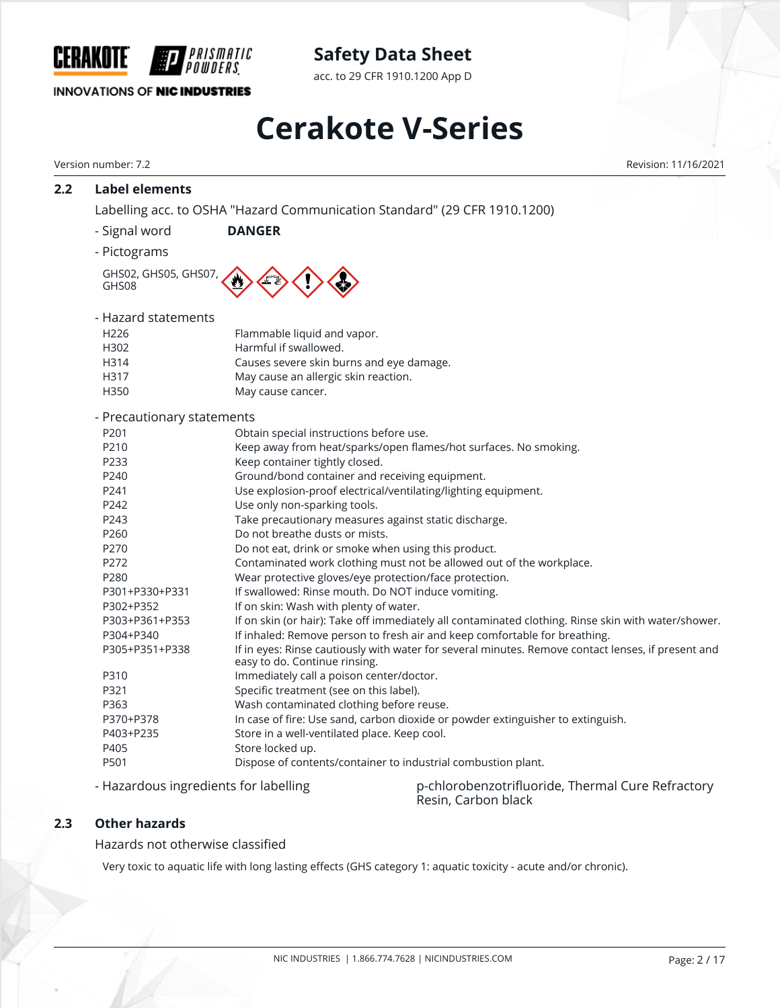

acc. to 29 CFR 1910.1200 App D

# **INNOVATIONS OF NIC INDUSTRIES**

# **Cerakote V-Series**

| 2.2 | <b>Label elements</b>                 |                                                                           |                                                                                                                 |              |  |  |  |
|-----|---------------------------------------|---------------------------------------------------------------------------|-----------------------------------------------------------------------------------------------------------------|--------------|--|--|--|
|     |                                       | Labelling acc. to OSHA "Hazard Communication Standard" (29 CFR 1910.1200) |                                                                                                                 |              |  |  |  |
|     | - Signal word                         | <b>DANGER</b>                                                             |                                                                                                                 |              |  |  |  |
|     | - Pictograms                          |                                                                           |                                                                                                                 |              |  |  |  |
|     |                                       |                                                                           |                                                                                                                 |              |  |  |  |
|     | GHS02, GHS05, GHS07,<br>GHS08         |                                                                           |                                                                                                                 |              |  |  |  |
|     | - Hazard statements                   |                                                                           |                                                                                                                 |              |  |  |  |
|     | H226                                  | Flammable liquid and vapor.                                               |                                                                                                                 |              |  |  |  |
|     | H302                                  | Harmful if swallowed.                                                     |                                                                                                                 |              |  |  |  |
|     | H314                                  | Causes severe skin burns and eye damage.                                  |                                                                                                                 |              |  |  |  |
|     | H317                                  | May cause an allergic skin reaction.                                      |                                                                                                                 |              |  |  |  |
|     | H350                                  | May cause cancer.                                                         |                                                                                                                 |              |  |  |  |
|     | - Precautionary statements            |                                                                           |                                                                                                                 |              |  |  |  |
|     | P201                                  | Obtain special instructions before use.                                   |                                                                                                                 |              |  |  |  |
|     | P210                                  |                                                                           | Keep away from heat/sparks/open flames/hot surfaces. No smoking.                                                |              |  |  |  |
|     | P233                                  | Keep container tightly closed.                                            |                                                                                                                 |              |  |  |  |
|     | P240                                  | Ground/bond container and receiving equipment.                            |                                                                                                                 |              |  |  |  |
|     | P241                                  |                                                                           | Use explosion-proof electrical/ventilating/lighting equipment.                                                  |              |  |  |  |
|     | P242                                  | Use only non-sparking tools.                                              |                                                                                                                 |              |  |  |  |
|     | P243                                  | Take precautionary measures against static discharge.                     |                                                                                                                 |              |  |  |  |
|     | P260                                  | Do not breathe dusts or mists.                                            |                                                                                                                 |              |  |  |  |
|     | P270                                  | Do not eat, drink or smoke when using this product.                       |                                                                                                                 |              |  |  |  |
|     | P272                                  |                                                                           | Contaminated work clothing must not be allowed out of the workplace.                                            |              |  |  |  |
|     | P280                                  | Wear protective gloves/eye protection/face protection.                    |                                                                                                                 |              |  |  |  |
|     | P301+P330+P331                        | If swallowed: Rinse mouth. Do NOT induce vomiting.                        |                                                                                                                 |              |  |  |  |
|     | P302+P352                             | If on skin: Wash with plenty of water.                                    |                                                                                                                 |              |  |  |  |
|     | P303+P361+P353                        |                                                                           | If on skin (or hair): Take off immediately all contaminated clothing. Rinse skin with water/shower.             |              |  |  |  |
|     | P304+P340                             |                                                                           | If inhaled: Remove person to fresh air and keep comfortable for breathing.                                      |              |  |  |  |
|     | P305+P351+P338                        | easy to do. Continue rinsing.                                             | If in eyes: Rinse cautiously with water for several minutes. Remove contact lenses, if present and              |              |  |  |  |
|     | P310                                  | Immediately call a poison center/doctor.                                  |                                                                                                                 |              |  |  |  |
|     | P321                                  | Specific treatment (see on this label).                                   |                                                                                                                 |              |  |  |  |
|     | P363                                  | Wash contaminated clothing before reuse.                                  |                                                                                                                 |              |  |  |  |
|     | P370+P378                             |                                                                           | In case of fire: Use sand, carbon dioxide or powder extinguisher to extinguish.                                 |              |  |  |  |
|     | P403+P235                             | Store in a well-ventilated place. Keep cool.                              |                                                                                                                 |              |  |  |  |
|     | P405                                  | Store locked up.                                                          |                                                                                                                 |              |  |  |  |
|     | P501                                  |                                                                           | Dispose of contents/container to industrial combustion plant.                                                   |              |  |  |  |
|     | - Hazardous ingredients for labelling |                                                                           | p-chlorobenzotrifluoride, Thermal Cure Refractory<br>Resin, Carbon black                                        |              |  |  |  |
| 2.3 | <b>Other hazards</b>                  |                                                                           |                                                                                                                 |              |  |  |  |
|     | Hazards not otherwise classified      |                                                                           |                                                                                                                 |              |  |  |  |
|     |                                       |                                                                           | Very toxic to aquatic life with long lasting effects (GHS category 1: aquatic toxicity - acute and/or chronic). |              |  |  |  |
|     |                                       |                                                                           |                                                                                                                 |              |  |  |  |
|     |                                       |                                                                           |                                                                                                                 |              |  |  |  |
|     |                                       |                                                                           |                                                                                                                 |              |  |  |  |
|     |                                       |                                                                           | NIC INDUSTRIES   1.866.774.7628   NICINDUSTRIES.COM                                                             | Page: 2 / 17 |  |  |  |
|     |                                       |                                                                           |                                                                                                                 |              |  |  |  |
|     |                                       |                                                                           |                                                                                                                 |              |  |  |  |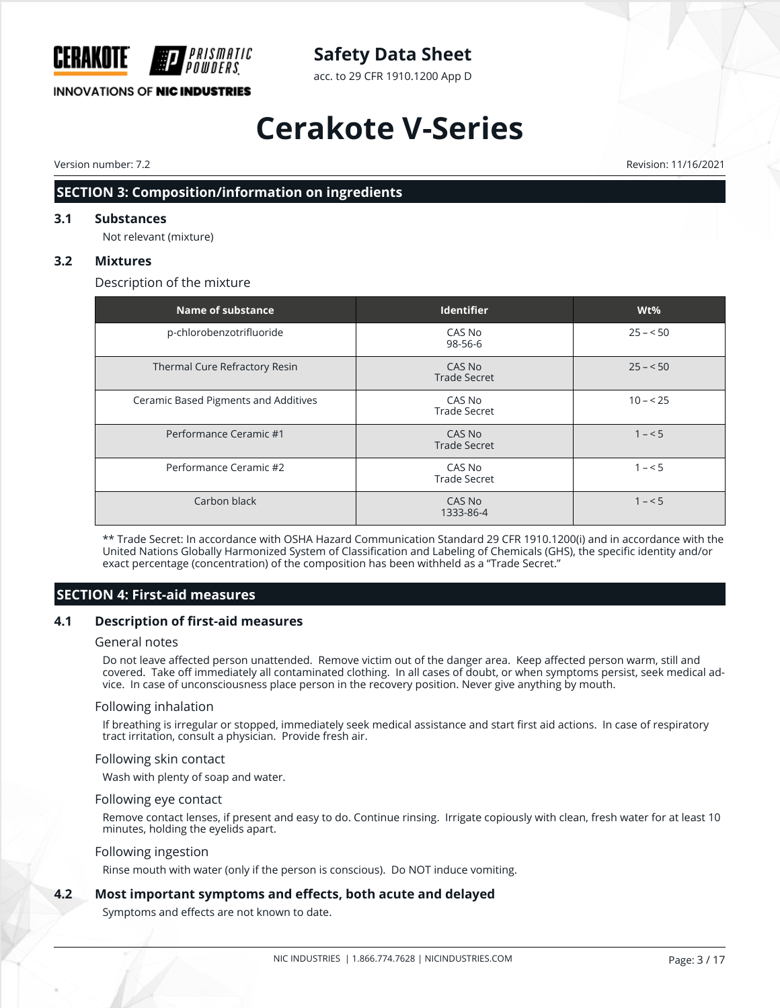

acc. to 29 CFR 1910.1200 App D

# **INNOVATIONS OF NIC INDUSTRIES**

# **Cerakote V-Series**

Version number: 7.2 Revision: 11/16/2021

# **SECTION 3: Composition/information on ingredients**

#### **3.1 Substances**

Not relevant (mixture)

#### **3.2 Mixtures**

Description of the mixture

| <b>Name of substance</b>             | <b>Identifier</b>             | Wt%       |
|--------------------------------------|-------------------------------|-----------|
| p-chlorobenzotrifluoride             | CAS No<br>98-56-6             | $25 - 50$ |
| Thermal Cure Refractory Resin        | CAS No<br><b>Trade Secret</b> | $25 - 50$ |
| Ceramic Based Pigments and Additives | CAS No<br><b>Trade Secret</b> | $10 - 25$ |
| Performance Ceramic #1               | CAS No<br><b>Trade Secret</b> | $1 - 5$   |
| Performance Ceramic #2               | CAS No<br><b>Trade Secret</b> | $1 - 5$   |
| Carbon black                         | CAS No<br>1333-86-4           | $1 - 5$   |

\*\* Trade Secret: In accordance with OSHA Hazard Communication Standard 29 CFR 1910.1200(i) and in accordance with the United Nations Globally Harmonized System of Classification and Labeling of Chemicals (GHS), the specific identity and/or exact percentage (concentration) of the composition has been withheld as a "Trade Secret."

# **SECTION 4: First-aid measures**

#### **4.1 Description of first-aid measures**

#### General notes

Do not leave affected person unattended. Remove victim out of the danger area. Keep affected person warm, still and covered. Take off immediately all contaminated clothing. In all cases of doubt, or when symptoms persist, seek medical advice. In case of unconsciousness place person in the recovery position. Never give anything by mouth.

#### Following inhalation

If breathing is irregular or stopped, immediately seek medical assistance and start first aid actions. In case of respiratory tract irritation, consult a physician. Provide fresh air.

#### Following skin contact

Wash with plenty of soap and water.

#### Following eye contact

Remove contact lenses, if present and easy to do. Continue rinsing. Irrigate copiously with clean, fresh water for at least 10 minutes, holding the eyelids apart.

#### Following ingestion

Rinse mouth with water (only if the person is conscious). Do NOT induce vomiting.

#### **4.2 Most important symptoms and effects, both acute and delayed**

Symptoms and effects are not known to date.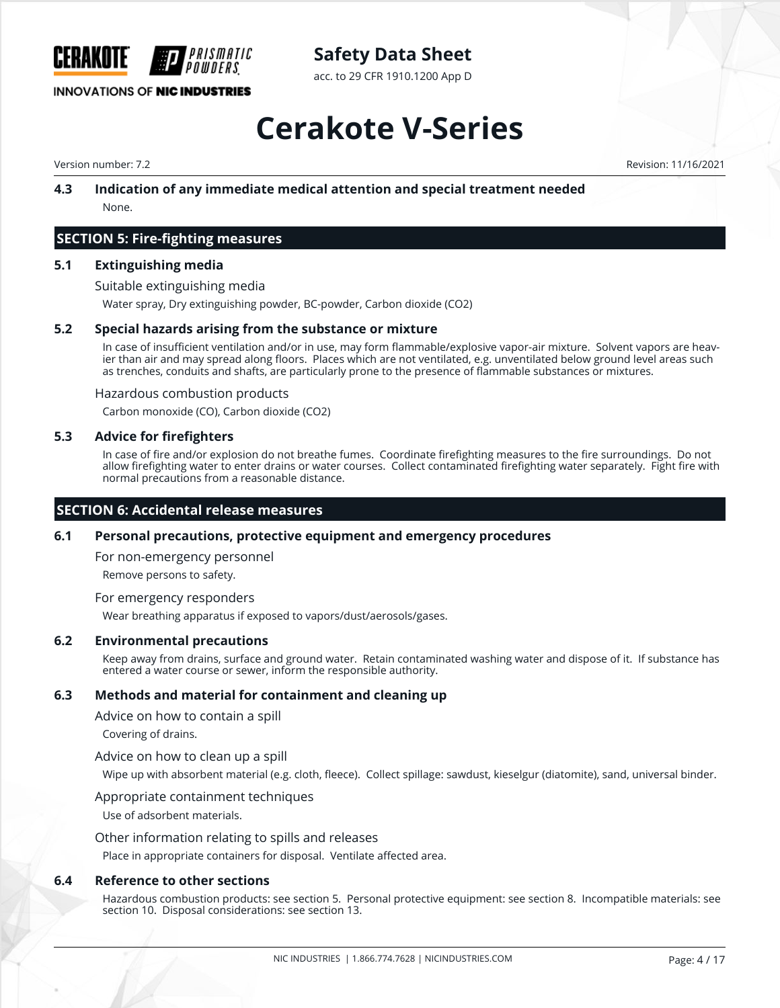

acc. to 29 CFR 1910.1200 App D

# **Cerakote V-Series**

Version number: 7.2 Revision: 11/16/2021

### **4.3 Indication of any immediate medical attention and special treatment needed** None.

## **SECTION 5: Fire-fighting measures**

#### **5.1 Extinguishing media**

Suitable extinguishing media

Water spray, Dry extinguishing powder, BC-powder, Carbon dioxide (CO2)

#### **5.2 Special hazards arising from the substance or mixture**

In case of insufficient ventilation and/or in use, may form flammable/explosive vapor-air mixture. Solvent vapors are heavier than air and may spread along floors. Places which are not ventilated, e.g. unventilated below ground level areas such as trenches, conduits and shafts, are particularly prone to the presence of flammable substances or mixtures.

#### Hazardous combustion products

Carbon monoxide (CO), Carbon dioxide (CO2)

#### **5.3 Advice for firefighters**

In case of fire and/or explosion do not breathe fumes. Coordinate firefighting measures to the fire surroundings. Do not allow firefighting water to enter drains or water courses. Collect contaminated firefighting water separately. Fight fire with normal precautions from a reasonable distance.

#### **SECTION 6: Accidental release measures**

#### **6.1 Personal precautions, protective equipment and emergency procedures**

For non-emergency personnel

Remove persons to safety.

#### For emergency responders

Wear breathing apparatus if exposed to vapors/dust/aerosols/gases.

#### **6.2 Environmental precautions**

Keep away from drains, surface and ground water. Retain contaminated washing water and dispose of it. If substance has entered a water course or sewer, inform the responsible authority.

#### **6.3 Methods and material for containment and cleaning up**

Advice on how to contain a spill

Covering of drains.

#### Advice on how to clean up a spill

Wipe up with absorbent material (e.g. cloth, fleece). Collect spillage: sawdust, kieselgur (diatomite), sand, universal binder.

#### Appropriate containment techniques

Use of adsorbent materials.

#### Other information relating to spills and releases

Place in appropriate containers for disposal. Ventilate affected area.

#### **6.4 Reference to other sections**

Hazardous combustion products: see section 5. Personal protective equipment: see section 8. Incompatible materials: see section 10. Disposal considerations: see section 13.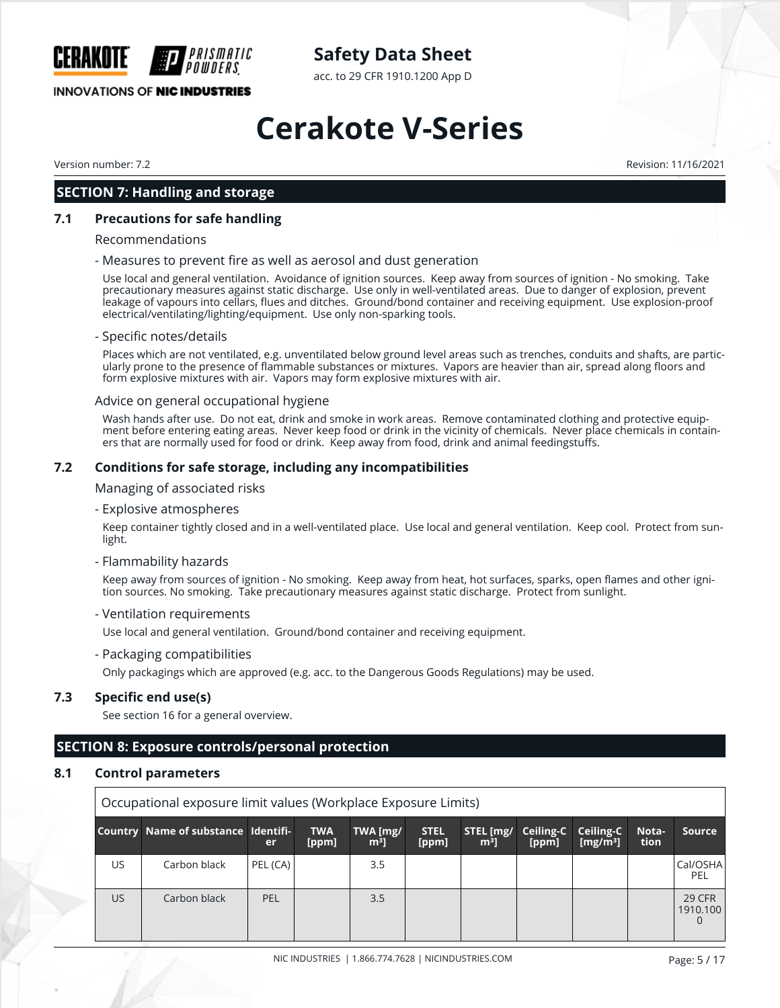

acc. to 29 CFR 1910.1200 App D

# **INNOVATIONS OF NIC INDUSTRIES**

# **Cerakote V-Series**

Version number: 7.2 Revision: 11/16/2021

## **SECTION 7: Handling and storage**

#### **7.1 Precautions for safe handling**

#### Recommendations

#### - Measures to prevent fire as well as aerosol and dust generation

Use local and general ventilation. Avoidance of ignition sources. Keep away from sources of ignition - No smoking. Take precautionary measures against static discharge. Use only in well-ventilated areas. Due to danger of explosion, prevent leakage of vapours into cellars, flues and ditches. Ground/bond container and receiving equipment. Use explosion-proof electrical/ventilating/lighting/equipment. Use only non-sparking tools.

#### - Specific notes/details

Places which are not ventilated, e.g. unventilated below ground level areas such as trenches, conduits and shafts, are particularly prone to the presence of flammable substances or mixtures. Vapors are heavier than air, spread along floors and form explosive mixtures with air. Vapors may form explosive mixtures with air.

#### Advice on general occupational hygiene

Wash hands after use. Do not eat, drink and smoke in work areas. Remove contaminated clothing and protective equipment before entering eating areas. Never keep food or drink in the vicinity of chemicals. Never place chemicals in containers that are normally used for food or drink. Keep away from food, drink and animal feedingstuffs.

#### **7.2 Conditions for safe storage, including any incompatibilities**

Managing of associated risks

- Explosive atmospheres

Keep container tightly closed and in a well-ventilated place. Use local and general ventilation. Keep cool. Protect from sunlight.

#### - Flammability hazards

Keep away from sources of ignition - No smoking. Keep away from heat, hot surfaces, sparks, open flames and other ignition sources. No smoking. Take precautionary measures against static discharge. Protect from sunlight.

#### - Ventilation requirements

Use local and general ventilation. Ground/bond container and receiving equipment.

- Packaging compatibilities

Only packagings which are approved (e.g. acc. to the Dangerous Goods Regulations) may be used.

#### **7.3 Specific end use(s)**

See section 16 for a general overview.

# **SECTION 8: Exposure controls/personal protection**

#### **8.1 Control parameters**

| Occupational exposure limit values (Workplace Exposure Limits) |                                     |            |                     |                            |                      |                             |                    |                          |               |                                       |
|----------------------------------------------------------------|-------------------------------------|------------|---------------------|----------------------------|----------------------|-----------------------------|--------------------|--------------------------|---------------|---------------------------------------|
|                                                                | Country Name of substance Identifi- | er         | <b>TWA</b><br>[ppm] | TWA [mg/<br>m <sup>3</sup> | <b>STEL</b><br>[ppm] | STEL [mg/<br>m <sup>3</sup> | Ceiling-C<br>[ppm] | Ceiling-C<br>[ $mg/m3$ ] | Nota-<br>tion | Source                                |
| US.                                                            | Carbon black                        | PEL (CA)   |                     | 3.5                        |                      |                             |                    |                          |               | Cal/OSHA<br>PEL                       |
| US.                                                            | Carbon black                        | <b>PEL</b> |                     | 3.5                        |                      |                             |                    |                          |               | <b>29 CFR</b><br>1910.100<br>$\Omega$ |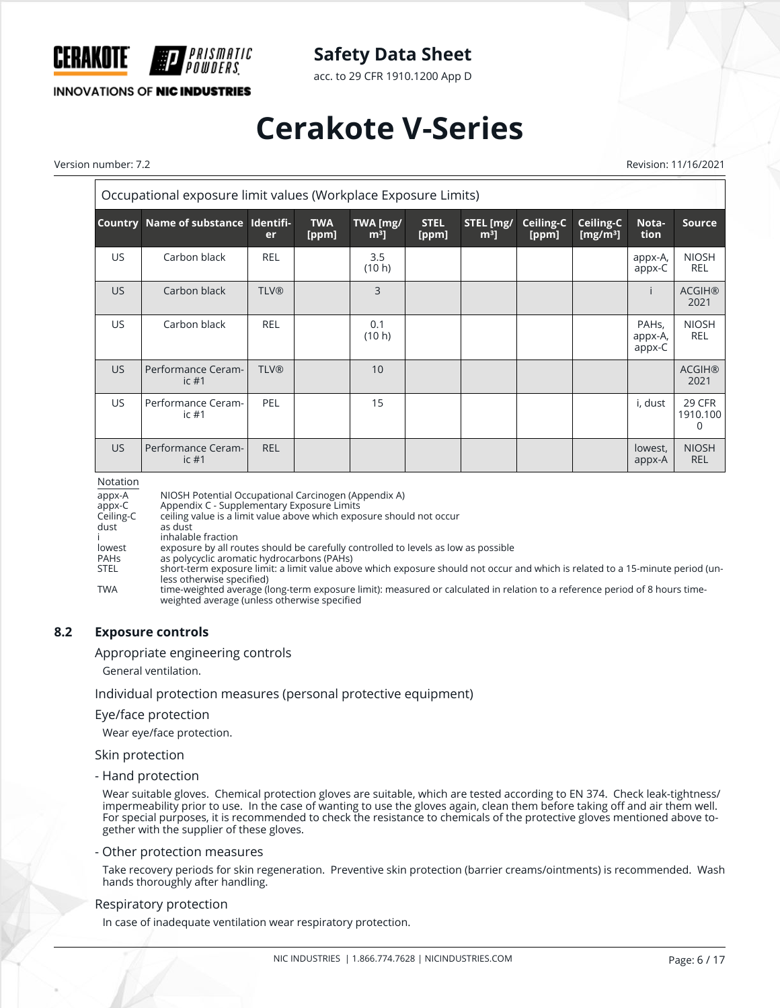

acc. to 29 CFR 1910.1200 App D

## **INNOVATIONS OF NIC INDUSTRIES**

# **Cerakote V-Series**

Version number: 7.2 Revision: 11/16/2021

| Occupational exposure limit values (Workplace Exposure Limits) |                                     |             |                     |                            |                      |                             |                    |                          |                                         |                            |
|----------------------------------------------------------------|-------------------------------------|-------------|---------------------|----------------------------|----------------------|-----------------------------|--------------------|--------------------------|-----------------------------------------|----------------------------|
|                                                                | Country Name of substance Identifi- | er          | <b>TWA</b><br>[ppm] | TWA [mg/<br>m <sup>3</sup> | <b>STEL</b><br>[ppm] | STEL [mg/<br>m <sup>3</sup> | Ceiling-C<br>[ppm] | Ceiling-C<br>[ $mg/m3$ ] | Nota-<br>tion                           | <b>Source</b>              |
| <b>US</b>                                                      | Carbon black                        | <b>REL</b>  |                     | 3.5<br>(10 h)              |                      |                             |                    |                          | appx-A,<br>appx-C                       | <b>NIOSH</b><br><b>REL</b> |
| <b>US</b>                                                      | Carbon black                        | <b>TLV®</b> |                     | 3                          |                      |                             |                    |                          |                                         | <b>ACGIH®</b><br>2021      |
| <b>US</b>                                                      | Carbon black                        | <b>REL</b>  |                     | 0.1<br>(10 h)              |                      |                             |                    |                          | PAH <sub>s</sub> ,<br>appx-A,<br>appx-C | <b>NIOSH</b><br><b>REL</b> |
| US.                                                            | Performance Ceram-<br>ic $#1$       | <b>TLV®</b> |                     | 10                         |                      |                             |                    |                          |                                         | <b>ACGIH®</b><br>2021      |
| <b>US</b>                                                      | Performance Ceram-<br>ic $#1$       | PEL         |                     | 15                         |                      |                             |                    |                          | i, dust                                 | 29 CFR<br>1910.100<br>0    |
| US.                                                            | Performance Ceram-<br>$ic$ #1       | <b>REL</b>  |                     |                            |                      |                             |                    |                          | lowest,<br>appx-A                       | <b>NIOSH</b><br><b>REL</b> |

Notation

| <b>NOTATION</b> |                                                                                                                                                                             |
|-----------------|-----------------------------------------------------------------------------------------------------------------------------------------------------------------------------|
| appx-A          | NIOSH Potential Occupational Carcinogen (Appendix A)                                                                                                                        |
| appx-C          | Appendix C - Supplementary Exposure Limits                                                                                                                                  |
| Ceiling-C       | ceiling value is a limit value above which exposure should not occur                                                                                                        |
| dust            | as dust                                                                                                                                                                     |
|                 | inhalable fraction                                                                                                                                                          |
| lowest          | exposure by all routes should be carefully controlled to levels as low as possible                                                                                          |
| <b>PAHs</b>     | as polycyclic aromatic hydrocarbons (PAHs)                                                                                                                                  |
| <b>STEL</b>     | short-term exposure limit; a limit value above which exposure should not occur and which is related to a 15-minute period (un-<br>less otherwise specified)                 |
| <b>TWA</b>      | time-weighted average (long-term exposure limit); measured or calculated in relation to a reference period of 8 hours time-<br>weighted average (unless otherwise specified |

#### **8.2 Exposure controls**

Appropriate engineering controls

General ventilation.

Individual protection measures (personal protective equipment)

#### Eye/face protection

Wear eye/face protection.

#### Skin protection

- Hand protection

Wear suitable gloves. Chemical protection gloves are suitable, which are tested according to EN 374. Check leak-tightness/ impermeability prior to use. In the case of wanting to use the gloves again, clean them before taking off and air them well. For special purposes, it is recommended to check the resistance to chemicals of the protective gloves mentioned above together with the supplier of these gloves.

#### - Other protection measures

Take recovery periods for skin regeneration. Preventive skin protection (barrier creams/ointments) is recommended. Wash hands thoroughly after handling.

#### Respiratory protection

In case of inadequate ventilation wear respiratory protection.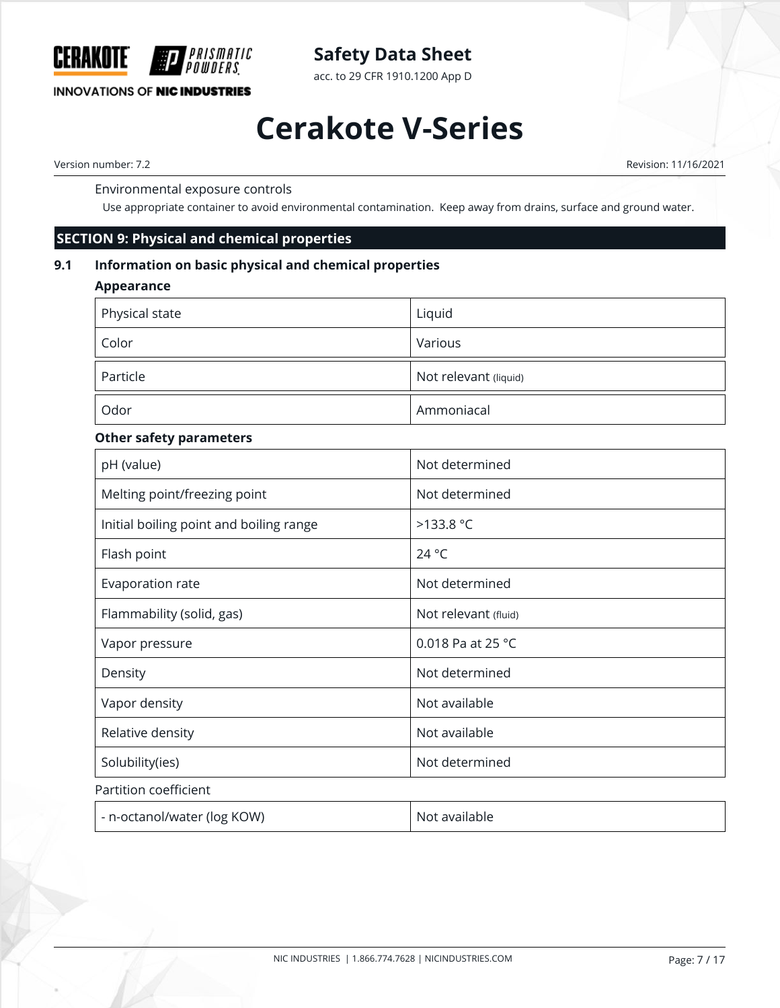

**INNOVATIONS OF NIC INDUSTRIES** 

# **Safety Data Sheet**

acc. to 29 CFR 1910.1200 App D

# **Cerakote V-Series**

Version number: 7.2 Revision: 11/16/2021

### Environmental exposure controls

Use appropriate container to avoid environmental contamination. Keep away from drains, surface and ground water.

## **SECTION 9: Physical and chemical properties**

## **9.1 Information on basic physical and chemical properties**

### **Appearance**

| Physical state | Liquid                |
|----------------|-----------------------|
| Color          | Various               |
| Particle       | Not relevant (liquid) |
| Odor           | Ammoniacal            |

## **Other safety parameters**

| pH (value)                              | Not determined              |
|-----------------------------------------|-----------------------------|
|                                         |                             |
| Melting point/freezing point            | Not determined              |
| Initial boiling point and boiling range | >133.8 °C                   |
| Flash point                             | 24 °C                       |
| Evaporation rate                        | Not determined              |
| Flammability (solid, gas)               | Not relevant (fluid)        |
| Vapor pressure                          | 0.018 Pa at 25 $^{\circ}$ C |
| Density                                 | Not determined              |
| Vapor density                           | Not available               |
| Relative density                        | Not available               |
| Solubility(ies)                         | Not determined              |
| Partition coefficient                   |                             |
| - n-octanol/water (log KOW)             | Not available               |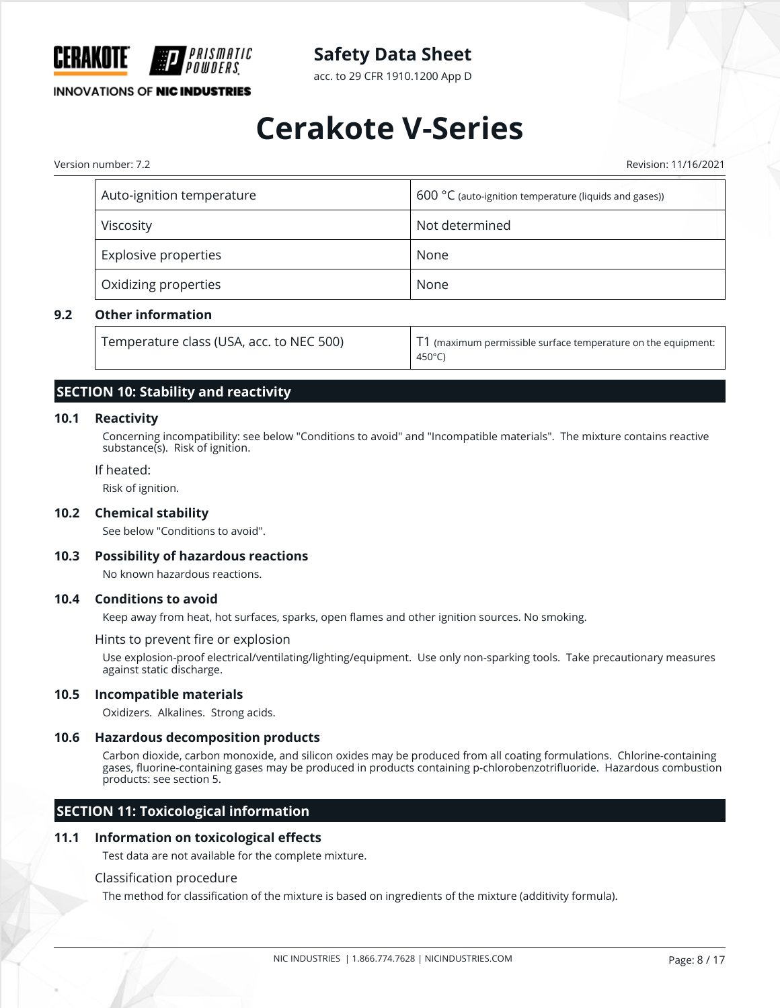

acc. to 29 CFR 1910.1200 App D

## **INNOVATIONS OF NIC INDUSTRIES**

# **Cerakote V-Series**

Version number: 7.2 Revision: 11/16/2021

| Auto-ignition temperature | $600 °C$ (auto-ignition temperature (liquids and gases)) |
|---------------------------|----------------------------------------------------------|
| Viscosity                 | Not determined                                           |
| Explosive properties      | None                                                     |
| Oxidizing properties      | None                                                     |

#### **9.2 Other information**

| Temperature class (USA, acc. to NEC 500) | $\mid$ T1 (maximum permissible surface temperature on the equipment: |
|------------------------------------------|----------------------------------------------------------------------|
|                                          | 450°C)                                                               |

## **SECTION 10: Stability and reactivity**

#### **10.1 Reactivity**

Concerning incompatibility: see below "Conditions to avoid" and "Incompatible materials". The mixture contains reactive substance(s). Risk of ignition.

#### If heated:

Risk of ignition.

#### **10.2 Chemical stability**

See below "Conditions to avoid".

#### **10.3 Possibility of hazardous reactions**

No known hazardous reactions.

#### **10.4 Conditions to avoid**

Keep away from heat, hot surfaces, sparks, open flames and other ignition sources. No smoking.

#### Hints to prevent fire or explosion

Use explosion-proof electrical/ventilating/lighting/equipment. Use only non-sparking tools. Take precautionary measures against static discharge.

#### **10.5 Incompatible materials**

Oxidizers. Alkalines. Strong acids.

#### **10.6 Hazardous decomposition products**

Carbon dioxide, carbon monoxide, and silicon oxides may be produced from all coating formulations. Chlorine-containing gases, fluorine-containing gases may be produced in products containing p-chlorobenzotrifluoride. Hazardous combustion products: see section 5.

## **SECTION 11: Toxicological information**

#### **11.1 Information on toxicological effects**

Test data are not available for the complete mixture.

#### Classification procedure

The method for classification of the mixture is based on ingredients of the mixture (additivity formula).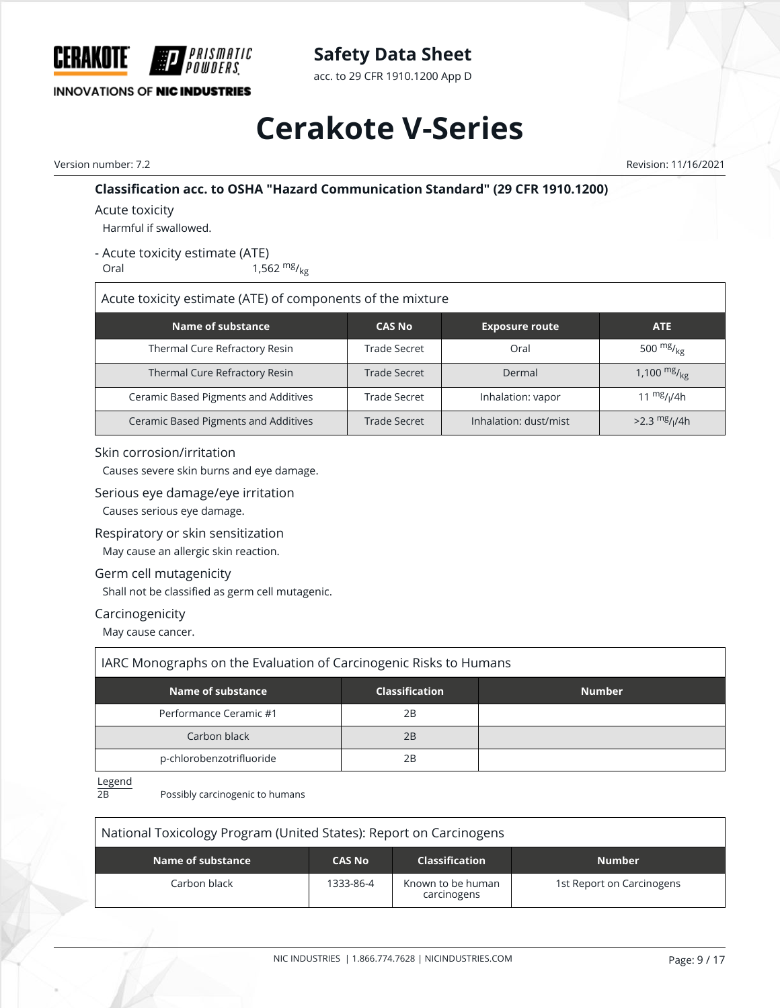

acc. to 29 CFR 1910.1200 App D

# **Cerakote V-Series**

Version number: 7.2 Revision: 11/16/2021

## **Classification acc. to OSHA "Hazard Communication Standard" (29 CFR 1910.1200)**

Acute toxicity

Harmful if swallowed.

- Acute toxicity estimate (ATE)

Oral  $1,562 \frac{mg}{kg}$ 

Acute toxicity estimate (ATE) of components of the mixture

| Name of substance                    | <b>CAS No</b> | <b>Exposure route</b> | <b>ATE</b>                  |
|--------------------------------------|---------------|-----------------------|-----------------------------|
| Thermal Cure Refractory Resin        | Trade Secret  | Oral                  | 500 $mg/g_E$                |
| Thermal Cure Refractory Resin        | Trade Secret  | Dermal                | 1,100 $mg/_{kg}$            |
| Ceramic Based Pigments and Additives | Trade Secret  | Inhalation: vapor     | 11 $mg/1/4h$                |
| Ceramic Based Pigments and Additives | Trade Secret  | Inhalation: dust/mist | $>2.3$ mg/ <sub>I</sub> /4h |

## Skin corrosion/irritation

Causes severe skin burns and eye damage.

#### Serious eye damage/eye irritation

Causes serious eye damage.

## Respiratory or skin sensitization

May cause an allergic skin reaction.

## Germ cell mutagenicity

Shall not be classified as germ cell mutagenic.

#### Carcinogenicity

May cause cancer.

| IARC Monographs on the Evaluation of Carcinogenic Risks to Humans |                       |               |  |  |  |  |
|-------------------------------------------------------------------|-----------------------|---------------|--|--|--|--|
| Name of substance                                                 | <b>Classification</b> | <b>Number</b> |  |  |  |  |
| Performance Ceramic #1                                            | 2Β                    |               |  |  |  |  |
| Carbon black                                                      | 2B                    |               |  |  |  |  |
| p-chlorobenzotrifluoride                                          | 2B                    |               |  |  |  |  |

 $L$ egend<br> $\frac{2B}{2B}$ 

Possibly carcinogenic to humans

| National Toxicology Program (United States): Report on Carcinogens           |           |                                  |                           |
|------------------------------------------------------------------------------|-----------|----------------------------------|---------------------------|
| Name of substance<br><b>CAS No</b><br><b>Classification</b><br><b>Number</b> |           |                                  |                           |
| Carbon black                                                                 | 1333-86-4 | Known to be human<br>carcinogens | 1st Report on Carcinogens |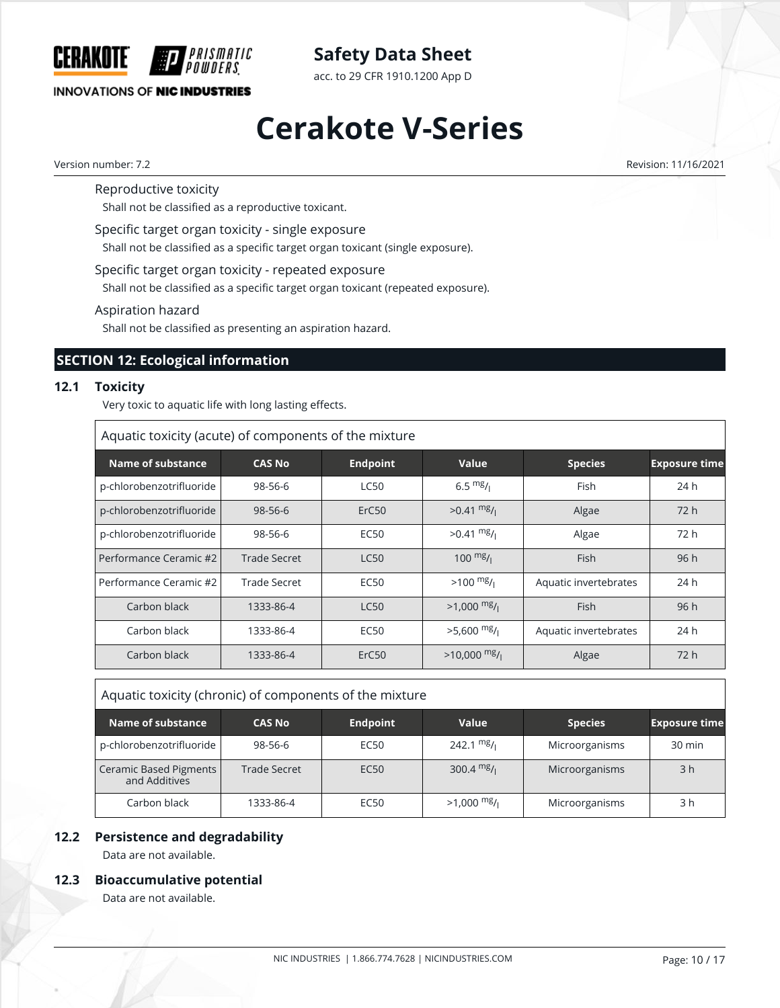

acc. to 29 CFR 1910.1200 App D

## **INNOVATIONS OF NIC INDUSTRIES**

# **Cerakote V-Series**

Version number: 7.2 Revision: 11/16/2021

Reproductive toxicity

Shall not be classified as a reproductive toxicant.

Specific target organ toxicity - single exposure

Shall not be classified as a specific target organ toxicant (single exposure).

Specific target organ toxicity - repeated exposure

Shall not be classified as a specific target organ toxicant (repeated exposure).

Aspiration hazard

Shall not be classified as presenting an aspiration hazard.

# **SECTION 12: Ecological information**

#### **12.1 Toxicity**

Very toxic to aquatic life with long lasting effects.

| Aquatic toxicity (acute) of components of the mixture |                     |                   |                          |                       |                      |
|-------------------------------------------------------|---------------------|-------------------|--------------------------|-----------------------|----------------------|
| Name of substance                                     | <b>CAS No.</b>      | <b>Endpoint</b>   | Value                    | <b>Species</b>        | <b>Exposure time</b> |
| p-chlorobenzotrifluoride                              | 98-56-6             | <b>LC50</b>       | 6.5 $mg/1$               | Fish                  | 24h                  |
| p-chlorobenzotrifluoride                              | $98 - 56 - 6$       | ErC <sub>50</sub> | $>0.41 \frac{mg}{l}$     | Algae                 | 72 h                 |
| p-chlorobenzotrifluoride                              | 98-56-6             | <b>EC50</b>       | $>0.41 \frac{mg}{l}$     | Algae                 | 72 h                 |
| Performance Ceramic #2                                | <b>Trade Secret</b> | <b>LC50</b>       | $100 \frac{mg}{l}$       | <b>Fish</b>           | 96h                  |
| Performance Ceramic #2                                | Trade Secret        | <b>EC50</b>       | $>100$ mg/ $\frac{m}{l}$ | Aquatic invertebrates | 24h                  |
| Carbon black                                          | 1333-86-4           | <b>LC50</b>       | $>1.000$ mg/             | <b>Fish</b>           | 96h                  |
| Carbon black                                          | 1333-86-4           | <b>EC50</b>       | $>5,600$ mg/             | Aquatic invertebrates | 24 h                 |
| Carbon black                                          | 1333-86-4           | ErC <sub>50</sub> | $>10,000$ mg/            | Algae                 | 72h                  |

| Aquatic toxicity (chronic) of components of the mixture |               |                  |              |                |                      |
|---------------------------------------------------------|---------------|------------------|--------------|----------------|----------------------|
| Name of substance                                       | <b>CAS No</b> | <b>Endpoint</b>  | Value        | <b>Species</b> | <b>Exposure time</b> |
| p-chlorobenzotrifluoride                                | 98-56-6       | EC <sub>50</sub> | 242.1 $mg/$  | Microorganisms | 30 min               |
| Ceramic Based Pigments<br>and Additives                 | Trade Secret  | EC <sub>50</sub> | 300.4 $mg/1$ | Microorganisms | 3 <sub>h</sub>       |
| Carbon black                                            | 1333-86-4     | EC <sub>50</sub> | $>1,000$ mg/ | Microorganisms | 3 h                  |

## **12.2 Persistence and degradability**

Data are not available.

#### **12.3 Bioaccumulative potential**

Data are not available.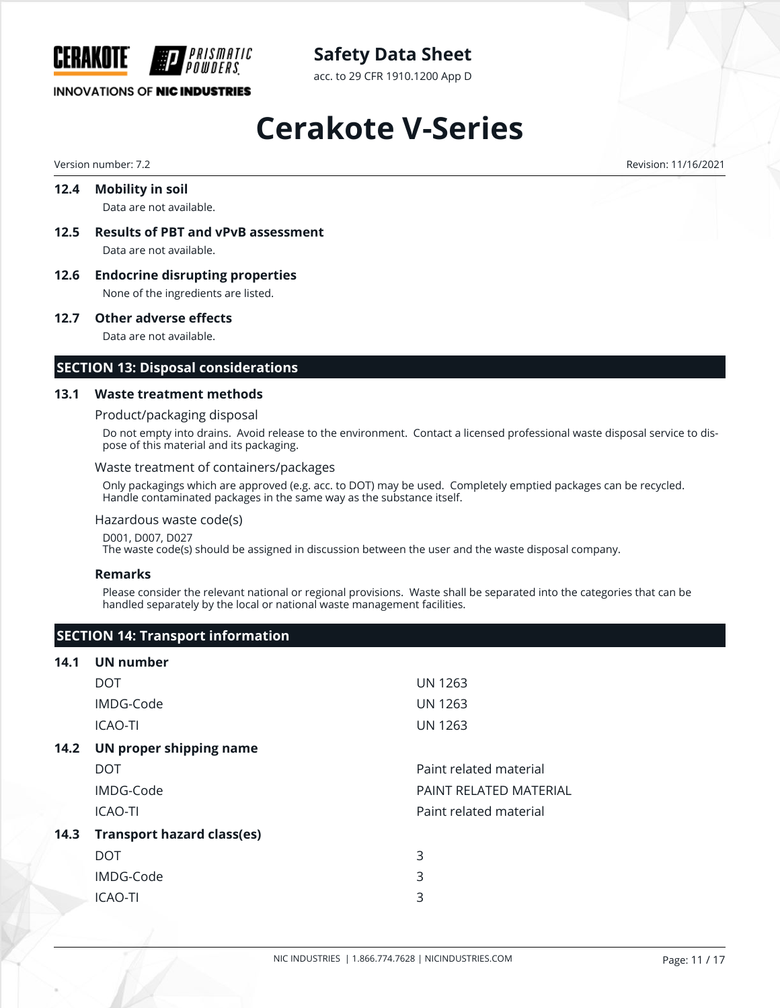

acc. to 29 CFR 1910.1200 App D

## **INNOVATIONS OF NIC INDUSTRIES**

# **Cerakote V-Series**

Version number: 7.2 Revision: 11/16/2021

## **12.4 Mobility in soil** Data are not available.

- **12.5 Results of PBT and vPvB assessment** Data are not available.
- **12.6 Endocrine disrupting properties** None of the ingredients are listed.

#### **12.7 Other adverse effects**

Data are not available.

## **SECTION 13: Disposal considerations**

#### **13.1 Waste treatment methods**

#### Product/packaging disposal

Do not empty into drains. Avoid release to the environment. Contact a licensed professional waste disposal service to dispose of this material and its packaging.

#### Waste treatment of containers/packages

Only packagings which are approved (e.g. acc. to DOT) may be used. Completely emptied packages can be recycled. Handle contaminated packages in the same way as the substance itself.

#### Hazardous waste code(s)

D001, D007, D027

The waste code(s) should be assigned in discussion between the user and the waste disposal company.

#### **Remarks**

Please consider the relevant national or regional provisions. Waste shall be separated into the categories that can be handled separately by the local or national waste management facilities.

## **SECTION 14: Transport information**

#### **14.1 UN number**

|      | <b>DOT</b>                        | <b>UN 1263</b>          |
|------|-----------------------------------|-------------------------|
|      | IMDG-Code                         | <b>UN 1263</b>          |
|      | <b>ICAO-TI</b>                    | <b>UN 1263</b>          |
| 14.2 | UN proper shipping name           |                         |
|      | <b>DOT</b>                        | Paint related material  |
|      | IMDG-Code                         | PAINT RFI ATFD MATFRIAL |
|      | <b>ICAO-TI</b>                    | Paint related material  |
| 14.3 | <b>Transport hazard class(es)</b> |                         |
|      | DOT.                              | 3                       |
|      | IMDG-Code                         | 3                       |
|      | <b>ICAO-TI</b>                    | 3                       |
|      |                                   |                         |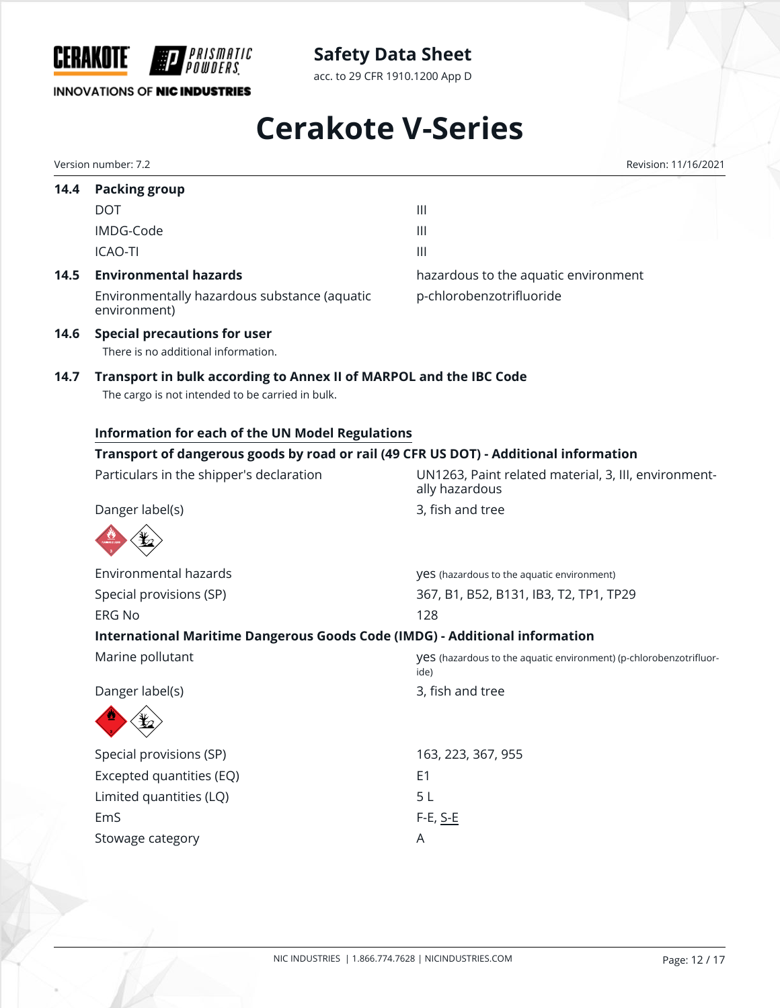

acc. to 29 CFR 1910.1200 App D

# **INNOVATIONS OF NIC INDUSTRIES**

# **Cerakote V-Series**

Version number: 7.2 Revision: 11/16/2021

| 14.4 | <b>Packing group</b>                                                                                                   |                                                                            |  |  |  |  |
|------|------------------------------------------------------------------------------------------------------------------------|----------------------------------------------------------------------------|--|--|--|--|
|      | <b>DOT</b>                                                                                                             | $\begin{array}{c} \hline \end{array}$                                      |  |  |  |  |
|      | IMDG-Code                                                                                                              | $\mathbf{III}$                                                             |  |  |  |  |
|      | <b>ICAO-TI</b>                                                                                                         | $\begin{array}{c} \hline \end{array}$                                      |  |  |  |  |
| 14.5 | <b>Environmental hazards</b>                                                                                           | hazardous to the aquatic environment                                       |  |  |  |  |
|      | Environmentally hazardous substance (aquatic<br>environment)                                                           | p-chlorobenzotrifluoride                                                   |  |  |  |  |
| 14.6 | <b>Special precautions for user</b><br>There is no additional information.                                             |                                                                            |  |  |  |  |
| 14.7 | Transport in bulk according to Annex II of MARPOL and the IBC Code<br>The cargo is not intended to be carried in bulk. |                                                                            |  |  |  |  |
|      | Information for each of the UN Model Regulations                                                                       |                                                                            |  |  |  |  |
|      | Transport of dangerous goods by road or rail (49 CFR US DOT) - Additional information                                  |                                                                            |  |  |  |  |
|      | Particulars in the shipper's declaration                                                                               | UN1263, Paint related material, 3, III, environment-<br>ally hazardous     |  |  |  |  |
|      | Danger label(s)                                                                                                        | 3, fish and tree                                                           |  |  |  |  |
|      |                                                                                                                        |                                                                            |  |  |  |  |
|      | Environmental hazards                                                                                                  | yes (hazardous to the aquatic environment)                                 |  |  |  |  |
|      | Special provisions (SP)                                                                                                | 367, B1, B52, B131, IB3, T2, TP1, TP29                                     |  |  |  |  |
|      | <b>ERG No</b>                                                                                                          | 128                                                                        |  |  |  |  |
|      | International Maritime Dangerous Goods Code (IMDG) - Additional information                                            |                                                                            |  |  |  |  |
|      | Marine pollutant                                                                                                       | yes (hazardous to the aquatic environment) (p-chlorobenzotrifluor-<br>ide) |  |  |  |  |
|      | Danger label(s)                                                                                                        | 3, fish and tree                                                           |  |  |  |  |
|      |                                                                                                                        |                                                                            |  |  |  |  |
|      | Special provisions (SP)                                                                                                | 163, 223, 367, 955                                                         |  |  |  |  |
|      | Excepted quantities (EQ)                                                                                               | E <sub>1</sub>                                                             |  |  |  |  |
|      | Limited quantities (LQ)                                                                                                | 5L                                                                         |  |  |  |  |
|      |                                                                                                                        | F-E, <u>S-E</u>                                                            |  |  |  |  |
|      | EmS                                                                                                                    |                                                                            |  |  |  |  |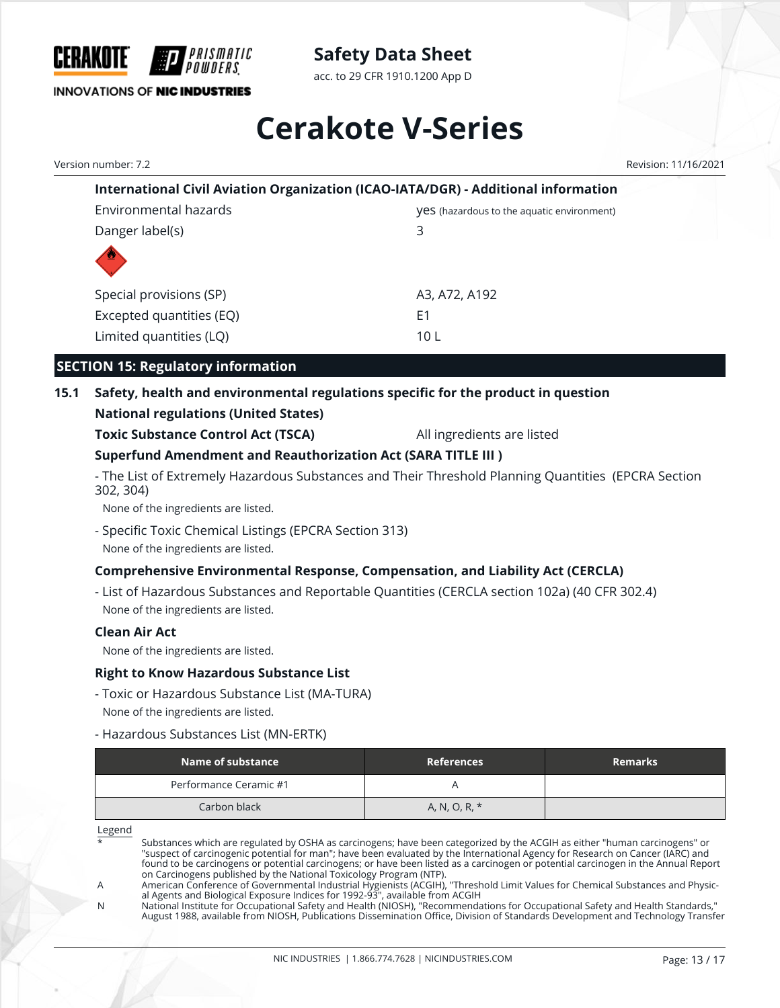

acc. to 29 CFR 1910.1200 App D

# **Cerakote V-Series**

Version number: 7.2 Revision: 11/16/2021

| International Civil Aviation Organization (ICAO-IATA/DGR) - Additional information |                                                   |  |
|------------------------------------------------------------------------------------|---------------------------------------------------|--|
| Environmental hazards                                                              | <b>VeS</b> (hazardous to the aquatic environment) |  |
| Danger label(s)                                                                    | 3                                                 |  |
|                                                                                    |                                                   |  |
| Special provisions (SP)                                                            | A3, A72, A192                                     |  |
| Excepted quantities (EQ)                                                           | F1                                                |  |
| Limited quantities (LQ)                                                            | 10 L                                              |  |

# **SECTION 15: Regulatory information**

# **15.1 Safety, health and environmental regulations specific for the product in question**

# **National regulations (United States)**

**Toxic Substance Control Act (TSCA)** All ingredients are listed

# **Superfund Amendment and Reauthorization Act (SARA TITLE III )**

- The List of Extremely Hazardous Substances and Their Threshold Planning Quantities (EPCRA Section 302, 304)

None of the ingredients are listed.

- Specific Toxic Chemical Listings (EPCRA Section 313) None of the ingredients are listed.

# **Comprehensive Environmental Response, Compensation, and Liability Act (CERCLA)**

- List of Hazardous Substances and Reportable Quantities (CERCLA section 102a) (40 CFR 302.4) None of the ingredients are listed.

## **Clean Air Act**

None of the ingredients are listed.

## **Right to Know Hazardous Substance List**

- Toxic or Hazardous Substance List (MA-TURA) None of the ingredients are listed.
- Hazardous Substances List (MN-ERTK)

| Name of substance      | <b>References</b> | <b>Remarks</b> |
|------------------------|-------------------|----------------|
| Performance Ceramic #1 |                   |                |
| Carbon black           | A, N, O, R, *     |                |

Legend

Substances which are regulated by OSHA as carcinogens; have been categorized by the ACGIH as either "human carcinogens" or "suspect of carcinogenic potential for man"; have been evaluated by the International Agency for Research on Cancer (IARC) and found to be carcinogens or potential carcinogens; or have been listed as a carcinogen or potential carcinogen in the Annual Report on Carcinogens published by the National Toxicology Program (NTP).

N National Institute for Occupational Safety and Health (NIOSH), "Recommendations for Occupational Safety and Health Standards," August 1988, available from NIOSH, Publications Dissemination Office, Division of Standards Development and Technology Transfer

A American Conference of Governmental Industrial Hygienists (ACGIH), "Threshold Limit Values for Chemical Substances and Physical Agents and Biological Exposure Indices for 1992-93", available from ACGIH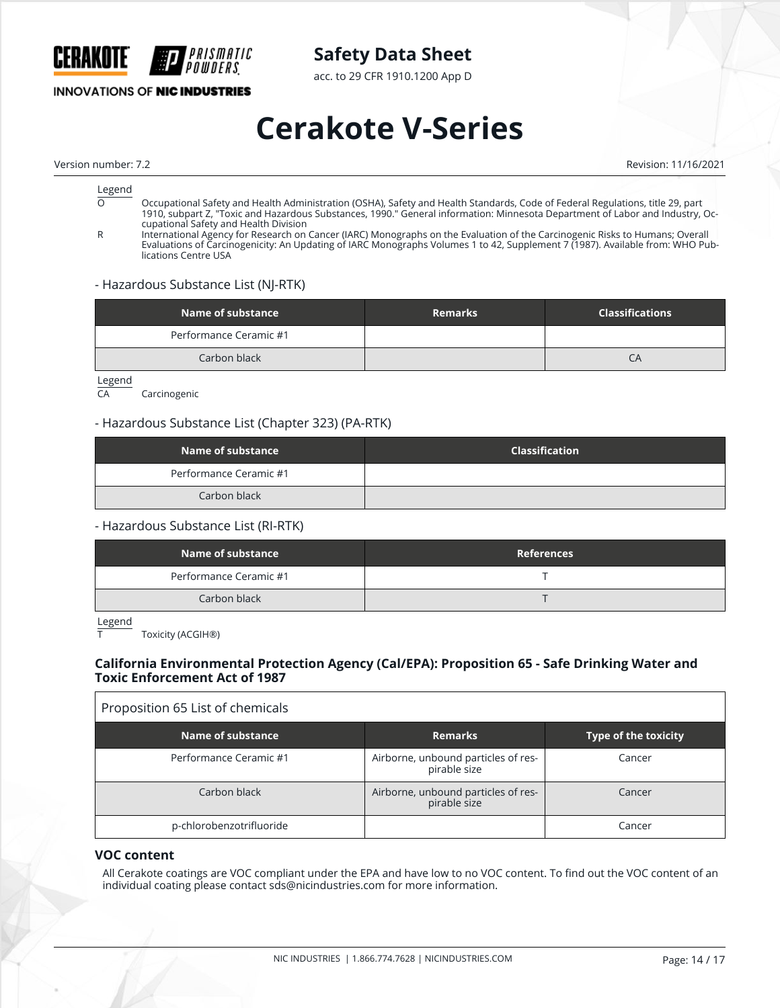

acc. to 29 CFR 1910.1200 App D

# **INNOVATIONS OF NIC INDUSTRIES**

# **Cerakote V-Series**

Version number: 7.2 Revision: 11/16/2021

# $rac{\text{Legend}}{\Omega}$

- O Occupational Safety and Health Administration (OSHA), Safety and Health Standards, Code of Federal Regulations, title 29, part 1910, subpart Z, "Toxic and Hazardous Substances, 1990." General information: Minnesota Department of Labor and Industry, Occupational Safety and Health Division
- R International Agency for Research on Cancer (IARC) Monographs on the Evaluation of the Carcinogenic Risks to Humans; Overall Evaluations of Carcinogenicity: An Updating of IARC Monographs Volumes 1 to 42, Supplement 7 (1987). Available from: WHO Publications Centre USA

#### - Hazardous Substance List (NJ-RTK)

| Name of substance      | <b>Remarks</b> | <b>Classifications</b> |
|------------------------|----------------|------------------------|
| Performance Ceramic #1 |                |                        |
| Carbon black           |                | ĆΑ                     |

Legend<br>CA

Carcinogenic

#### - Hazardous Substance List (Chapter 323) (PA-RTK)

| Name of substance      | <b>Classification</b> |
|------------------------|-----------------------|
| Performance Ceramic #1 |                       |
| Carbon black           |                       |

#### - Hazardous Substance List (RI-RTK)

| Name of substance      | <b>References</b> |
|------------------------|-------------------|
| Performance Ceramic #1 |                   |
| Carbon black           |                   |

Legend

Toxicity (ACGIH®)

## **California Environmental Protection Agency (Cal/EPA): Proposition 65 - Safe Drinking Water and Toxic Enforcement Act of 1987**

# Proposition 65 List of chemicals

| Name of substance        | <b>Remarks</b>                                      | Type of the toxicity |
|--------------------------|-----------------------------------------------------|----------------------|
| Performance Ceramic #1   | Airborne, unbound particles of res-<br>pirable size | Cancer               |
| Carbon black             | Airborne, unbound particles of res-<br>pirable size | Cancer               |
| p-chlorobenzotrifluoride |                                                     | Cancer               |

#### **VOC content**

All Cerakote coatings are VOC compliant under the EPA and have low to no VOC content. To find out the VOC content of an individual coating please contact sds@nicindustries.com for more information.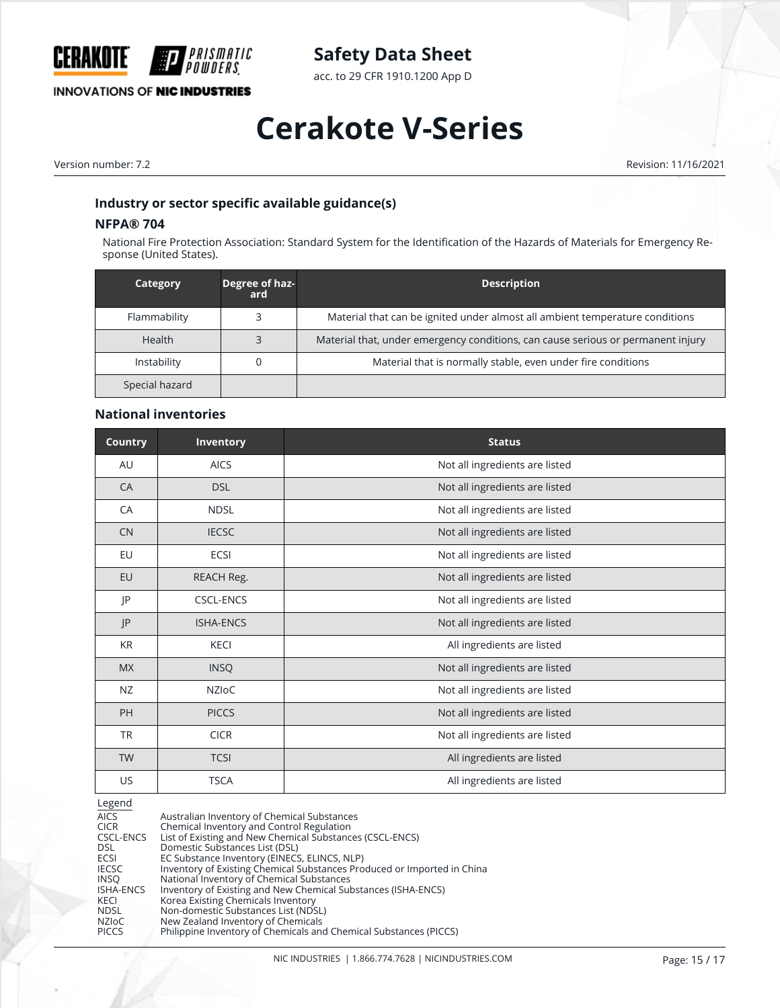

acc. to 29 CFR 1910.1200 App D

# **INNOVATIONS OF NIC INDUSTRIES**

# **Cerakote V-Series**

Version number: 7.2 Revision: 11/16/2021

### **Industry or sector specific available guidance(s)**

## **NFPA® 704**

National Fire Protection Association: Standard System for the Identification of the Hazards of Materials for Emergency Response (United States).

| Category       | Degree of haz-<br>ard | <b>Description</b>                                                               |
|----------------|-----------------------|----------------------------------------------------------------------------------|
| Flammability   |                       | Material that can be ignited under almost all ambient temperature conditions     |
| Health         |                       | Material that, under emergency conditions, can cause serious or permanent injury |
| Instability    |                       | Material that is normally stable, even under fire conditions                     |
| Special hazard |                       |                                                                                  |

#### **National inventories**

| Country   | <b>Inventory</b> | <b>Status</b>                  |
|-----------|------------------|--------------------------------|
| AU        | <b>AICS</b>      | Not all ingredients are listed |
| CA        | <b>DSL</b>       | Not all ingredients are listed |
| CA        | <b>NDSL</b>      | Not all ingredients are listed |
| <b>CN</b> | <b>IECSC</b>     | Not all ingredients are listed |
| EU        | ECSI             | Not all ingredients are listed |
| EU        | REACH Reg.       | Not all ingredients are listed |
| JP        | <b>CSCL-ENCS</b> | Not all ingredients are listed |
| JP        | <b>ISHA-ENCS</b> | Not all ingredients are listed |
| <b>KR</b> | <b>KECI</b>      | All ingredients are listed     |
| <b>MX</b> | <b>INSQ</b>      | Not all ingredients are listed |
| <b>NZ</b> | NZIoC            | Not all ingredients are listed |
| PH        | <b>PICCS</b>     | Not all ingredients are listed |
| <b>TR</b> | <b>CICR</b>      | Not all ingredients are listed |
| <b>TW</b> | <b>TCSI</b>      | All ingredients are listed     |
| <b>US</b> | <b>TSCA</b>      | All ingredients are listed     |

#### Legend

| <b>AICS</b>      | Australian Inventory of Chemical Substances                             |
|------------------|-------------------------------------------------------------------------|
| <b>CICR</b>      | Chemical Inventory and Control Regulation                               |
| CSCL-ENCS        | List of Existing and New Chemical Substances (CSCL-ENCS)                |
| <b>DSL</b>       | Domestic Substances List (DSL)                                          |
| ECSI             | EC Substance Inventory (EINECS, ELINCS, NLP)                            |
| <b>IECSC</b>     | Inventory of Existing Chemical Substances Produced or Imported in China |
| <b>INSO</b>      | National Inventory of Chemical Substances                               |
| <b>ISHA-ENCS</b> | Inventory of Existing and New Chemical Substances (ISHA-ENCS)           |
| <b>KECI</b>      | Korea Existing Chemicals Inventory                                      |
| <b>NDSL</b>      | Non-domestic Substances List (NDSL)                                     |
| NZIoC            | New Zealand Inventory of Chemicals                                      |
| <b>PICCS</b>     | Philippine Inventory of Chemicals and Chemical Substances (PICCS)       |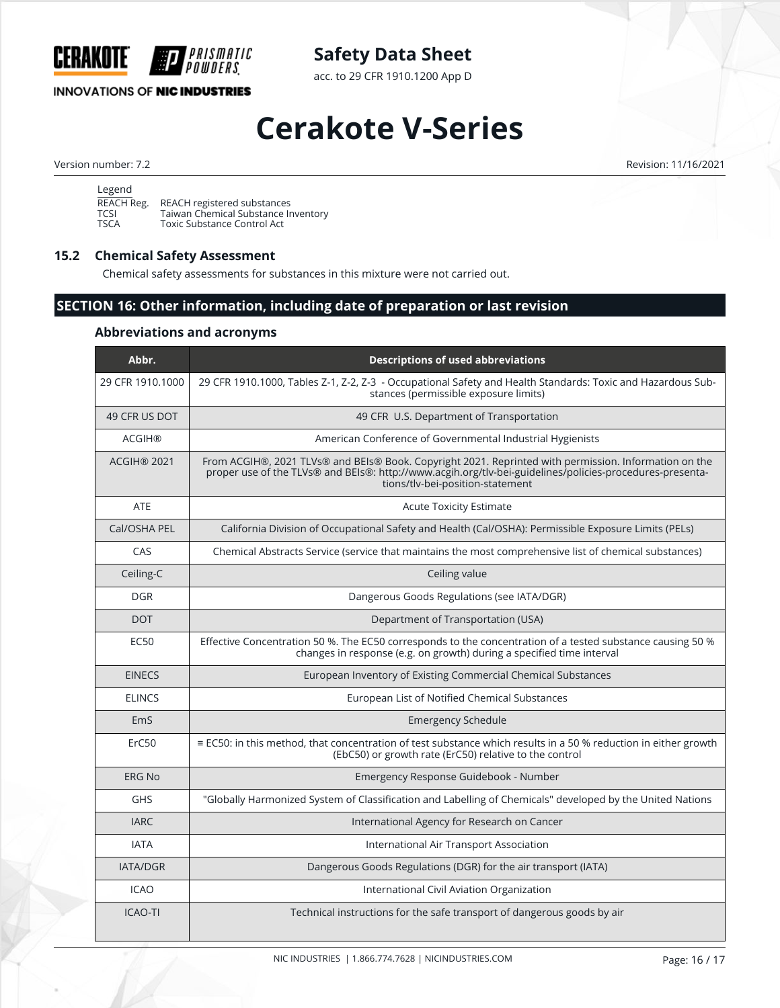

**INNOVATIONS OF NIC INDUSTRIES** 

# **Safety Data Sheet**

acc. to 29 CFR 1910.1200 App D

# **Cerakote V-Series**

Version number: 7.2 Revision: 11/16/2021

| Legend              |                                                                    |
|---------------------|--------------------------------------------------------------------|
| REACH Reg.          | REACH registered substances                                        |
| TCSI<br><b>TSCA</b> | Taiwan Chemical Substance Inventory<br>Toxic Substance Control Act |
|                     |                                                                    |

## **15.2 Chemical Safety Assessment**

Chemical safety assessments for substances in this mixture were not carried out.

# **SECTION 16: Other information, including date of preparation or last revision**

## **Abbreviations and acronyms**

| Abbr.              | <b>Descriptions of used abbreviations</b>                                                                                                                                                                                                             |
|--------------------|-------------------------------------------------------------------------------------------------------------------------------------------------------------------------------------------------------------------------------------------------------|
| 29 CFR 1910.1000   | 29 CFR 1910.1000, Tables Z-1, Z-2, Z-3 - Occupational Safety and Health Standards: Toxic and Hazardous Sub-<br>stances (permissible exposure limits)                                                                                                  |
| 49 CFR US DOT      | 49 CFR U.S. Department of Transportation                                                                                                                                                                                                              |
| <b>ACGIH®</b>      | American Conference of Governmental Industrial Hygienists                                                                                                                                                                                             |
| <b>ACGIH® 2021</b> | From ACGIH®, 2021 TLVs® and BEIs® Book. Copyright 2021. Reprinted with permission. Information on the<br>proper use of the TLVs® and BEIs®: http://www.acgih.org/tlv-bei-guidelines/policies-procedures-presenta-<br>tions/tlv-bei-position-statement |
| ATE                | <b>Acute Toxicity Estimate</b>                                                                                                                                                                                                                        |
| Cal/OSHA PEL       | California Division of Occupational Safety and Health (Cal/OSHA): Permissible Exposure Limits (PELs)                                                                                                                                                  |
| CAS                | Chemical Abstracts Service (service that maintains the most comprehensive list of chemical substances)                                                                                                                                                |
| Ceiling-C          | Ceiling value                                                                                                                                                                                                                                         |
| <b>DGR</b>         | Dangerous Goods Regulations (see IATA/DGR)                                                                                                                                                                                                            |
| <b>DOT</b>         | Department of Transportation (USA)                                                                                                                                                                                                                    |
| <b>EC50</b>        | Effective Concentration 50 %. The EC50 corresponds to the concentration of a tested substance causing 50 %<br>changes in response (e.g. on growth) during a specified time interval                                                                   |
| <b>EINECS</b>      | European Inventory of Existing Commercial Chemical Substances                                                                                                                                                                                         |
| <b>ELINCS</b>      | European List of Notified Chemical Substances                                                                                                                                                                                                         |
| EmS                | <b>Emergency Schedule</b>                                                                                                                                                                                                                             |
| ErC50              | ≡ EC50: in this method, that concentration of test substance which results in a 50 % reduction in either growth<br>(EbC50) or growth rate (ErC50) relative to the control                                                                             |
| <b>ERG No</b>      | Emergency Response Guidebook - Number                                                                                                                                                                                                                 |
| <b>GHS</b>         | "Globally Harmonized System of Classification and Labelling of Chemicals" developed by the United Nations                                                                                                                                             |
| <b>IARC</b>        | International Agency for Research on Cancer                                                                                                                                                                                                           |
| <b>IATA</b>        | International Air Transport Association                                                                                                                                                                                                               |
| <b>IATA/DGR</b>    | Dangerous Goods Regulations (DGR) for the air transport (IATA)                                                                                                                                                                                        |
| <b>ICAO</b>        | International Civil Aviation Organization                                                                                                                                                                                                             |
| <b>ICAO-TI</b>     | Technical instructions for the safe transport of dangerous goods by air                                                                                                                                                                               |